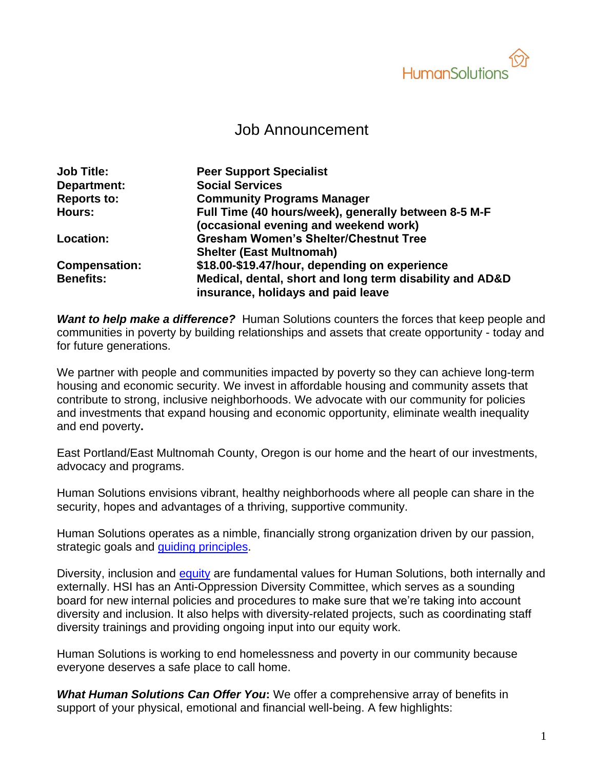

# Job Announcement

| <b>Job Title:</b>    | <b>Peer Support Specialist</b>                           |
|----------------------|----------------------------------------------------------|
| Department:          | <b>Social Services</b>                                   |
| <b>Reports to:</b>   | <b>Community Programs Manager</b>                        |
| <b>Hours:</b>        | Full Time (40 hours/week), generally between 8-5 M-F     |
|                      | (occasional evening and weekend work)                    |
| Location:            | <b>Gresham Women's Shelter/Chestnut Tree</b>             |
|                      | <b>Shelter (East Multnomah)</b>                          |
| <b>Compensation:</b> | \$18.00-\$19.47/hour, depending on experience            |
| <b>Benefits:</b>     | Medical, dental, short and long term disability and AD&D |
|                      | insurance, holidays and paid leave                       |

*Want to help make a difference?* Human Solutions counters the forces that keep people and communities in poverty by building relationships and assets that create opportunity - today and for future generations.

We partner with people and communities impacted by poverty so they can achieve long-term housing and economic security. We invest in affordable housing and community assets that contribute to strong, inclusive neighborhoods. We advocate with our community for policies and investments that expand housing and economic opportunity, eliminate wealth inequality and end poverty**.**

East Portland/East Multnomah County, Oregon is our home and the heart of our investments, advocacy and programs.

Human Solutions envisions vibrant, healthy neighborhoods where all people can share in the security, hopes and advantages of a thriving, supportive community.

Human Solutions operates as a nimble, financially strong organization driven by our passion, strategic goals and [guiding principles.](https://humansolutions.org/wp-content/uploads/2018/10/Guiding-Principles-for-Human-Solutions-2018.pdf)

Diversity, inclusion and [equity](https://humansolutions.org/wp-content/uploads/2018/10/Human-Solutions-Commitment-to-Diversity-Equity-and-Inclusion-2018.pdf) are fundamental values for Human Solutions, both internally and externally. HSI has an Anti-Oppression Diversity Committee, which serves as a sounding board for new internal policies and procedures to make sure that we're taking into account diversity and inclusion. It also helps with diversity-related projects, such as coordinating staff diversity trainings and providing ongoing input into our equity work.

Human Solutions is working to end homelessness and poverty in our community because everyone deserves a safe place to call home.

*What Human Solutions Can Offer You***:** We offer a comprehensive array of benefits in support of your physical, emotional and financial well-being. A few highlights: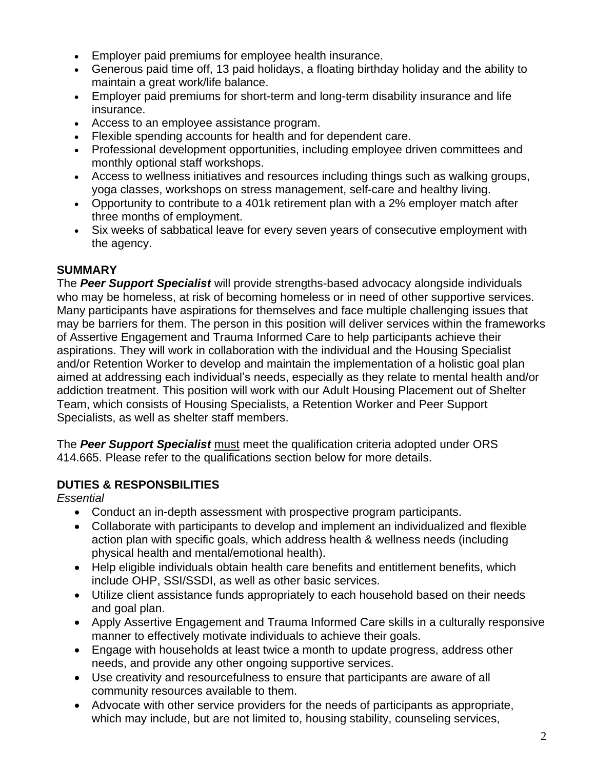- Employer paid premiums for employee health insurance.
- Generous paid time off, 13 paid holidays, a floating birthday holiday and the ability to maintain a great work/life balance.
- Employer paid premiums for short-term and long-term disability insurance and life insurance.
- Access to an employee assistance program.
- Flexible spending accounts for health and for dependent care.
- Professional development opportunities, including employee driven committees and monthly optional staff workshops.
- Access to wellness initiatives and resources including things such as walking groups, yoga classes, workshops on stress management, self-care and healthy living.
- Opportunity to contribute to a 401k retirement plan with a 2% employer match after three months of employment.
- Six weeks of sabbatical leave for every seven years of consecutive employment with the agency.

## **SUMMARY**

The *Peer Support Specialist* will provide strengths-based advocacy alongside individuals who may be homeless, at risk of becoming homeless or in need of other supportive services. Many participants have aspirations for themselves and face multiple challenging issues that may be barriers for them. The person in this position will deliver services within the frameworks of Assertive Engagement and Trauma Informed Care to help participants achieve their aspirations. They will work in collaboration with the individual and the Housing Specialist and/or Retention Worker to develop and maintain the implementation of a holistic goal plan aimed at addressing each individual's needs, especially as they relate to mental health and/or addiction treatment. This position will work with our Adult Housing Placement out of Shelter Team, which consists of Housing Specialists, a Retention Worker and Peer Support Specialists, as well as shelter staff members.

The *Peer Support Specialist* must meet the qualification criteria adopted under ORS 414.665. Please refer to the qualifications section below for more details.

## **DUTIES & RESPONSBILITIES**

### *Essential*

- Conduct an in-depth assessment with prospective program participants.
- Collaborate with participants to develop and implement an individualized and flexible action plan with specific goals, which address health & wellness needs (including physical health and mental/emotional health).
- Help eligible individuals obtain health care benefits and entitlement benefits, which include OHP, SSI/SSDI, as well as other basic services.
- Utilize client assistance funds appropriately to each household based on their needs and goal plan.
- Apply Assertive Engagement and Trauma Informed Care skills in a culturally responsive manner to effectively motivate individuals to achieve their goals.
- Engage with households at least twice a month to update progress, address other needs, and provide any other ongoing supportive services.
- Use creativity and resourcefulness to ensure that participants are aware of all community resources available to them.
- Advocate with other service providers for the needs of participants as appropriate, which may include, but are not limited to, housing stability, counseling services,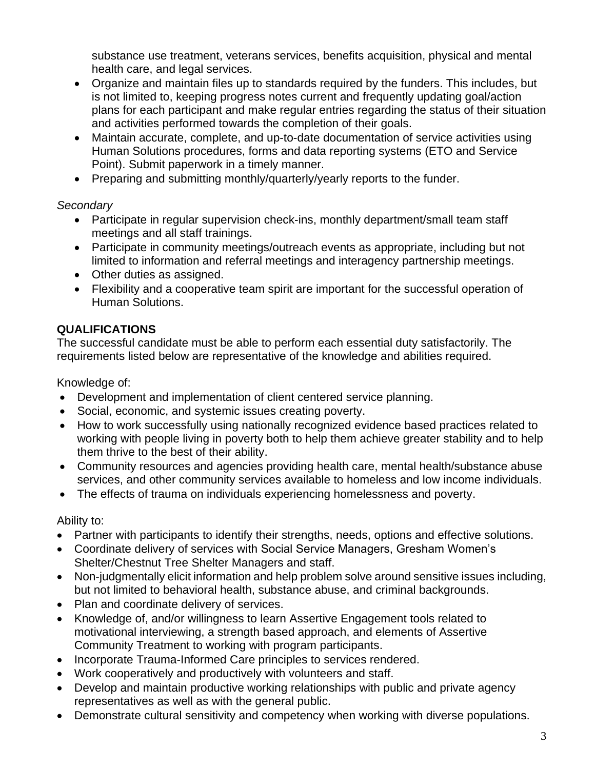substance use treatment, veterans services, benefits acquisition, physical and mental health care, and legal services.

- Organize and maintain files up to standards required by the funders. This includes, but is not limited to, keeping progress notes current and frequently updating goal/action plans for each participant and make regular entries regarding the status of their situation and activities performed towards the completion of their goals.
- Maintain accurate, complete, and up-to-date documentation of service activities using Human Solutions procedures, forms and data reporting systems (ETO and Service Point). Submit paperwork in a timely manner.
- Preparing and submitting monthly/quarterly/yearly reports to the funder.

### *Secondary*

- Participate in regular supervision check-ins, monthly department/small team staff meetings and all staff trainings.
- Participate in community meetings/outreach events as appropriate, including but not limited to information and referral meetings and interagency partnership meetings.
- Other duties as assigned.
- Flexibility and a cooperative team spirit are important for the successful operation of Human Solutions.

## **QUALIFICATIONS**

The successful candidate must be able to perform each essential duty satisfactorily. The requirements listed below are representative of the knowledge and abilities required.

Knowledge of:

- Development and implementation of client centered service planning.
- Social, economic, and systemic issues creating poverty.
- How to work successfully using nationally recognized evidence based practices related to working with people living in poverty both to help them achieve greater stability and to help them thrive to the best of their ability.
- Community resources and agencies providing health care, mental health/substance abuse services, and other community services available to homeless and low income individuals.
- The effects of trauma on individuals experiencing homelessness and poverty.

Ability to:

- Partner with participants to identify their strengths, needs, options and effective solutions.
- Coordinate delivery of services with Social Service Managers, Gresham Women's Shelter/Chestnut Tree Shelter Managers and staff.
- Non-judgmentally elicit information and help problem solve around sensitive issues including, but not limited to behavioral health, substance abuse, and criminal backgrounds.
- Plan and coordinate delivery of services.
- Knowledge of, and/or willingness to learn Assertive Engagement tools related to motivational interviewing, a strength based approach, and elements of Assertive Community Treatment to working with program participants.
- Incorporate Trauma-Informed Care principles to services rendered.
- Work cooperatively and productively with volunteers and staff.
- Develop and maintain productive working relationships with public and private agency representatives as well as with the general public.
- Demonstrate cultural sensitivity and competency when working with diverse populations.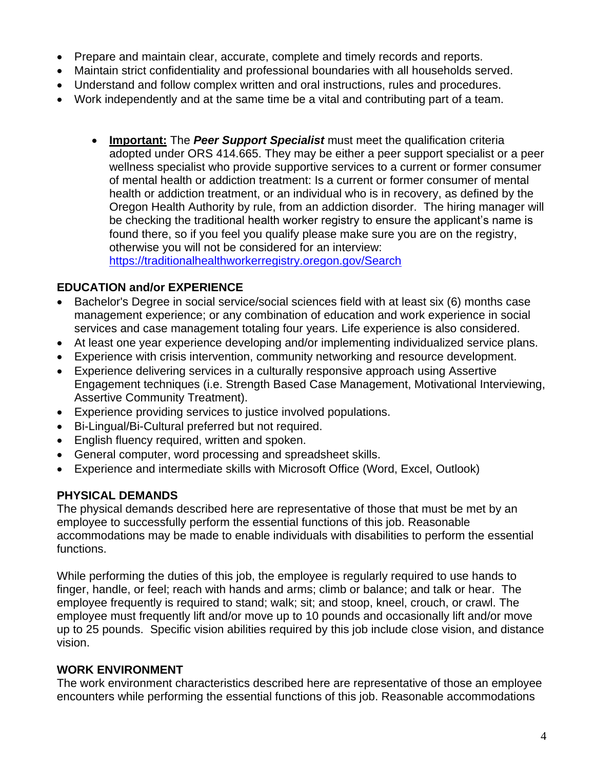- Prepare and maintain clear, accurate, complete and timely records and reports.
- Maintain strict confidentiality and professional boundaries with all households served.
- Understand and follow complex written and oral instructions, rules and procedures.
- Work independently and at the same time be a vital and contributing part of a team.
	- **Important:** The *Peer Support Specialist* must meet the qualification criteria adopted under ORS 414.665. They may be either a peer support specialist or a peer wellness specialist who provide supportive services to a current or former consumer of mental health or addiction treatment: Is a current or former consumer of mental health or addiction treatment, or an individual who is in recovery, as defined by the Oregon Health Authority by rule, from an addiction disorder. The hiring manager will be checking the traditional health worker registry to ensure the applicant's name is found there, so if you feel you qualify please make sure you are on the registry, otherwise you will not be considered for an interview: <https://traditionalhealthworkerregistry.oregon.gov/Search>

#### **EDUCATION and/or EXPERIENCE**

- Bachelor's Degree in social service/social sciences field with at least six (6) months case management experience; or any combination of education and work experience in social services and case management totaling four years. Life experience is also considered.
- At least one year experience developing and/or implementing individualized service plans.
- Experience with crisis intervention, community networking and resource development.
- Experience delivering services in a culturally responsive approach using Assertive Engagement techniques (i.e. Strength Based Case Management, Motivational Interviewing, Assertive Community Treatment).
- Experience providing services to justice involved populations.
- Bi-Lingual/Bi-Cultural preferred but not required.
- English fluency required, written and spoken.
- General computer, word processing and spreadsheet skills.
- Experience and intermediate skills with Microsoft Office (Word, Excel, Outlook)

### **PHYSICAL DEMANDS**

The physical demands described here are representative of those that must be met by an employee to successfully perform the essential functions of this job. Reasonable accommodations may be made to enable individuals with disabilities to perform the essential functions.

While performing the duties of this job, the employee is regularly required to use hands to finger, handle, or feel; reach with hands and arms; climb or balance; and talk or hear. The employee frequently is required to stand; walk; sit; and stoop, kneel, crouch, or crawl. The employee must frequently lift and/or move up to 10 pounds and occasionally lift and/or move up to 25 pounds. Specific vision abilities required by this job include close vision, and distance vision.

### **WORK ENVIRONMENT**

The work environment characteristics described here are representative of those an employee encounters while performing the essential functions of this job. Reasonable accommodations